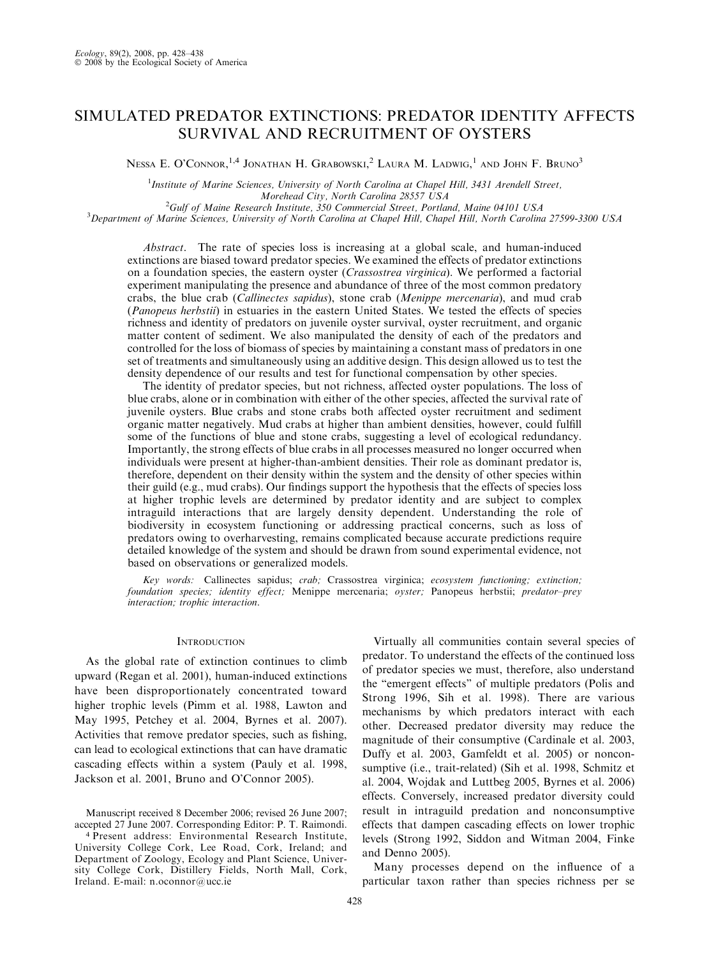# SIMULATED PREDATOR EXTINCTIONS: PREDATOR IDENTITY AFFECTS SURVIVAL AND RECRUITMENT OF OYSTERS

Nessa E. O'Connor,<sup>1,4</sup> Jonathan H. Grabowski,<sup>2</sup> Laura M. Ladwig,<sup>1</sup> and John F. Bruno<sup>3</sup>

<sup>1</sup>Institute of Marine Sciences, University of North Carolina at Chapel Hill, 3431 Arendell Street, Morehead City, North Carolina 28557 USA<br><sup>2</sup>Cult of Maine Bessameh Institute, 350 Commencial Street, Bortla

Gulf of Maine Research Institute, 350 Commercial Street, Portland, Maine 04101 USA <sup>3</sup> <sup>3</sup>Department of Marine Sciences, University of North Carolina at Chapel Hill, Chapel Hill, North Carolina 27599-3300 USA

Abstract. The rate of species loss is increasing at a global scale, and human-induced extinctions are biased toward predator species. We examined the effects of predator extinctions on a foundation species, the eastern oyster (Crassostrea virginica). We performed a factorial experiment manipulating the presence and abundance of three of the most common predatory crabs, the blue crab (Callinectes sapidus), stone crab (Menippe mercenaria), and mud crab (Panopeus herbstii) in estuaries in the eastern United States. We tested the effects of species richness and identity of predators on juvenile oyster survival, oyster recruitment, and organic matter content of sediment. We also manipulated the density of each of the predators and controlled for the loss of biomass of species by maintaining a constant mass of predators in one set of treatments and simultaneously using an additive design. This design allowed us to test the density dependence of our results and test for functional compensation by other species.

The identity of predator species, but not richness, affected oyster populations. The loss of blue crabs, alone or in combination with either of the other species, affected the survival rate of juvenile oysters. Blue crabs and stone crabs both affected oyster recruitment and sediment organic matter negatively. Mud crabs at higher than ambient densities, however, could fulfill some of the functions of blue and stone crabs, suggesting a level of ecological redundancy. Importantly, the strong effects of blue crabs in all processes measured no longer occurred when individuals were present at higher-than-ambient densities. Their role as dominant predator is, therefore, dependent on their density within the system and the density of other species within their guild (e.g., mud crabs). Our findings support the hypothesis that the effects of species loss at higher trophic levels are determined by predator identity and are subject to complex intraguild interactions that are largely density dependent. Understanding the role of biodiversity in ecosystem functioning or addressing practical concerns, such as loss of predators owing to overharvesting, remains complicated because accurate predictions require detailed knowledge of the system and should be drawn from sound experimental evidence, not based on observations or generalized models.

Key words: Callinectes sapidus; crab; Crassostrea virginica; ecosystem functioning; extinction; foundation species; identity effect; Menippe mercenaria; oyster; Panopeus herbstii; predator-prey interaction; trophic interaction.

### **INTRODUCTION**

As the global rate of extinction continues to climb upward (Regan et al. 2001), human-induced extinctions have been disproportionately concentrated toward higher trophic levels (Pimm et al. 1988, Lawton and May 1995, Petchey et al. 2004, Byrnes et al. 2007). Activities that remove predator species, such as fishing, can lead to ecological extinctions that can have dramatic cascading effects within a system (Pauly et al. 1998, Jackson et al. 2001, Bruno and O'Connor 2005).

Manuscript received 8 December 2006; revised 26 June 2007; accepted 27 June 2007. Corresponding Editor: P. T. Raimondi. <sup>4</sup> Present address: Environmental Research Institute, University College Cork, Lee Road, Cork, Ireland; and Department of Zoology, Ecology and Plant Science, University College Cork, Distillery Fields, North Mall, Cork, Ireland. E-mail: n.oconnor@ucc.ie

Virtually all communities contain several species of predator. To understand the effects of the continued loss of predator species we must, therefore, also understand the ''emergent effects'' of multiple predators (Polis and Strong 1996, Sih et al. 1998). There are various mechanisms by which predators interact with each other. Decreased predator diversity may reduce the magnitude of their consumptive (Cardinale et al. 2003, Duffy et al. 2003, Gamfeldt et al. 2005) or nonconsumptive (i.e., trait-related) (Sih et al. 1998, Schmitz et al. 2004, Wojdak and Luttbeg 2005, Byrnes et al. 2006) effects. Conversely, increased predator diversity could result in intraguild predation and nonconsumptive effects that dampen cascading effects on lower trophic levels (Strong 1992, Siddon and Witman 2004, Finke and Denno 2005).

Many processes depend on the influence of a particular taxon rather than species richness per se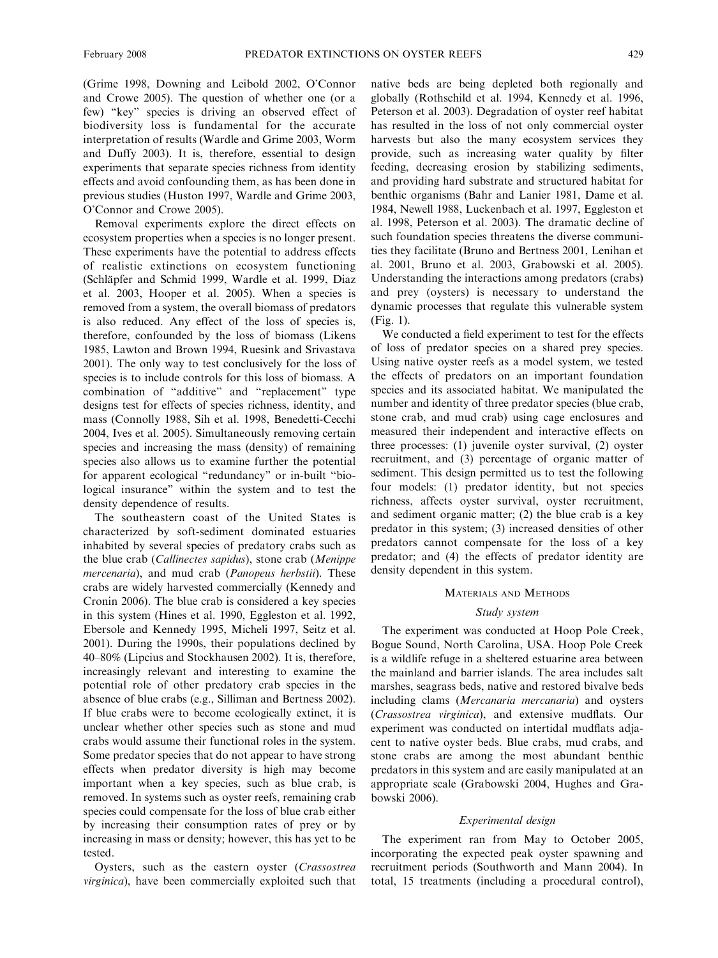(Grime 1998, Downing and Leibold 2002, O'Connor and Crowe 2005). The question of whether one (or a few) ''key'' species is driving an observed effect of biodiversity loss is fundamental for the accurate interpretation of results (Wardle and Grime 2003, Worm and Duffy 2003). It is, therefore, essential to design experiments that separate species richness from identity effects and avoid confounding them, as has been done in previous studies (Huston 1997, Wardle and Grime 2003, O'Connor and Crowe 2005).

Removal experiments explore the direct effects on ecosystem properties when a species is no longer present. These experiments have the potential to address effects of realistic extinctions on ecosystem functioning (Schläpfer and Schmid 1999, Wardle et al. 1999, Diaz et al. 2003, Hooper et al. 2005). When a species is removed from a system, the overall biomass of predators is also reduced. Any effect of the loss of species is, therefore, confounded by the loss of biomass (Likens 1985, Lawton and Brown 1994, Ruesink and Srivastava 2001). The only way to test conclusively for the loss of species is to include controls for this loss of biomass. A combination of ''additive'' and ''replacement'' type designs test for effects of species richness, identity, and mass (Connolly 1988, Sih et al. 1998, Benedetti-Cecchi 2004, Ives et al. 2005). Simultaneously removing certain species and increasing the mass (density) of remaining species also allows us to examine further the potential for apparent ecological ''redundancy'' or in-built ''biological insurance'' within the system and to test the density dependence of results.

The southeastern coast of the United States is characterized by soft-sediment dominated estuaries inhabited by several species of predatory crabs such as the blue crab (Callinectes sapidus), stone crab (Menippe mercenaria), and mud crab (Panopeus herbstii). These crabs are widely harvested commercially (Kennedy and Cronin 2006). The blue crab is considered a key species in this system (Hines et al. 1990, Eggleston et al. 1992, Ebersole and Kennedy 1995, Micheli 1997, Seitz et al. 2001). During the 1990s, their populations declined by 40–80% (Lipcius and Stockhausen 2002). It is, therefore, increasingly relevant and interesting to examine the potential role of other predatory crab species in the absence of blue crabs (e.g., Silliman and Bertness 2002). If blue crabs were to become ecologically extinct, it is unclear whether other species such as stone and mud crabs would assume their functional roles in the system. Some predator species that do not appear to have strong effects when predator diversity is high may become important when a key species, such as blue crab, is removed. In systems such as oyster reefs, remaining crab species could compensate for the loss of blue crab either by increasing their consumption rates of prey or by increasing in mass or density; however, this has yet to be tested.

Oysters, such as the eastern oyster (Crassostrea virginica), have been commercially exploited such that native beds are being depleted both regionally and globally (Rothschild et al. 1994, Kennedy et al. 1996, Peterson et al. 2003). Degradation of oyster reef habitat has resulted in the loss of not only commercial oyster harvests but also the many ecosystem services they provide, such as increasing water quality by filter feeding, decreasing erosion by stabilizing sediments, and providing hard substrate and structured habitat for benthic organisms (Bahr and Lanier 1981, Dame et al. 1984, Newell 1988, Luckenbach et al. 1997, Eggleston et al. 1998, Peterson et al. 2003). The dramatic decline of such foundation species threatens the diverse communities they facilitate (Bruno and Bertness 2001, Lenihan et al. 2001, Bruno et al. 2003, Grabowski et al. 2005). Understanding the interactions among predators (crabs) and prey (oysters) is necessary to understand the dynamic processes that regulate this vulnerable system (Fig. 1).

We conducted a field experiment to test for the effects of loss of predator species on a shared prey species. Using native oyster reefs as a model system, we tested the effects of predators on an important foundation species and its associated habitat. We manipulated the number and identity of three predator species (blue crab, stone crab, and mud crab) using cage enclosures and measured their independent and interactive effects on three processes: (1) juvenile oyster survival, (2) oyster recruitment, and (3) percentage of organic matter of sediment. This design permitted us to test the following four models: (1) predator identity, but not species richness, affects oyster survival, oyster recruitment, and sediment organic matter; (2) the blue crab is a key predator in this system; (3) increased densities of other predators cannot compensate for the loss of a key predator; and (4) the effects of predator identity are density dependent in this system.

### MATERIALS AND METHODS

#### Study system

The experiment was conducted at Hoop Pole Creek, Bogue Sound, North Carolina, USA. Hoop Pole Creek is a wildlife refuge in a sheltered estuarine area between the mainland and barrier islands. The area includes salt marshes, seagrass beds, native and restored bivalve beds including clams (Mercanaria mercanaria) and oysters (Crassostrea virginica), and extensive mudflats. Our experiment was conducted on intertidal mudflats adjacent to native oyster beds. Blue crabs, mud crabs, and stone crabs are among the most abundant benthic predators in this system and are easily manipulated at an appropriate scale (Grabowski 2004, Hughes and Grabowski 2006).

### Experimental design

The experiment ran from May to October 2005, incorporating the expected peak oyster spawning and recruitment periods (Southworth and Mann 2004). In total, 15 treatments (including a procedural control),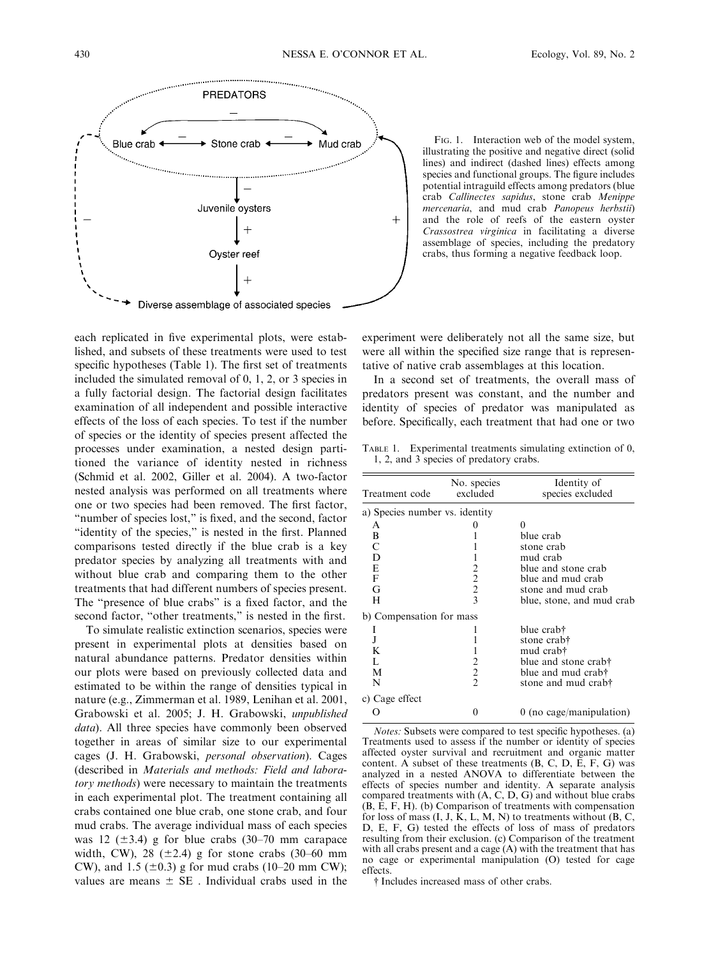

each replicated in five experimental plots, were established, and subsets of these treatments were used to test specific hypotheses (Table 1). The first set of treatments included the simulated removal of 0, 1, 2, or 3 species in a fully factorial design. The factorial design facilitates examination of all independent and possible interactive effects of the loss of each species. To test if the number of species or the identity of species present affected the processes under examination, a nested design partitioned the variance of identity nested in richness (Schmid et al. 2002, Giller et al. 2004). A two-factor nested analysis was performed on all treatments where one or two species had been removed. The first factor, "number of species lost," is fixed, and the second, factor ''identity of the species,'' is nested in the first. Planned comparisons tested directly if the blue crab is a key predator species by analyzing all treatments with and without blue crab and comparing them to the other treatments that had different numbers of species present. The ''presence of blue crabs'' is a fixed factor, and the second factor, "other treatments," is nested in the first.

To simulate realistic extinction scenarios, species were present in experimental plots at densities based on natural abundance patterns. Predator densities within our plots were based on previously collected data and estimated to be within the range of densities typical in nature (e.g., Zimmerman et al. 1989, Lenihan et al. 2001, Grabowski et al. 2005; J. H. Grabowski, unpublished data). All three species have commonly been observed together in areas of similar size to our experimental cages (J. H. Grabowski, personal observation). Cages (described in Materials and methods: Field and laboratory methods) were necessary to maintain the treatments in each experimental plot. The treatment containing all crabs contained one blue crab, one stone crab, and four mud crabs. The average individual mass of each species was 12 ( $\pm$ 3.4) g for blue crabs (30–70 mm carapace width, CW), 28  $(\pm 2.4)$  g for stone crabs (30–60 mm CW), and 1.5 ( $\pm$ 0.3) g for mud crabs (10–20 mm CW); values are means  $\pm$  SE. Individual crabs used in the

FIG. 1. Interaction web of the model system, illustrating the positive and negative direct (solid lines) and indirect (dashed lines) effects among species and functional groups. The figure includes potential intraguild effects among predators (blue crab Callinectes sapidus, stone crab Menippe mercenaria, and mud crab Panopeus herbstii) and the role of reefs of the eastern oyster Crassostrea virginica in facilitating a diverse assemblage of species, including the predatory crabs, thus forming a negative feedback loop.

experiment were deliberately not all the same size, but were all within the specified size range that is representative of native crab assemblages at this location.

In a second set of treatments, the overall mass of predators present was constant, and the number and identity of species of predator was manipulated as before. Specifically, each treatment that had one or two

TABLE 1. Experimental treatments simulating extinction of 0, 1, 2, and 3 species of predatory crabs.

| Treatment code                 | No. species<br>excluded  | Identity of<br>species excluded |
|--------------------------------|--------------------------|---------------------------------|
| a) Species number vs. identity |                          |                                 |
| A                              |                          |                                 |
| B                              |                          | blue crab                       |
| C                              |                          | stone crab                      |
| D                              |                          | mud crab                        |
| E                              |                          | blue and stone crab             |
| F                              |                          | blue and mud crab               |
| G                              | $\frac{2}{2}$            | stone and mud crab              |
| H                              | $\overline{\mathcal{E}}$ | blue, stone, and mud crab       |
| b) Compensation for mass       |                          |                                 |
|                                |                          | blue crab†                      |
| J                              |                          | stone crab†                     |
| K                              |                          | mud crab†                       |
| L                              |                          | blue and stone crab†            |
| М                              | $\overline{c}$           | blue and mud crab†              |
| N                              | $\overline{\mathcal{L}}$ | stone and mud crab†             |
| c) Cage effect                 |                          |                                 |
|                                | 0                        | $0$ (no cage/manipulation)      |

Notes: Subsets were compared to test specific hypotheses. (a) Treatments used to assess if the number or identity of species affected oyster survival and recruitment and organic matter content. A subset of these treatments  $(B, C, D, E, F, G)$  was analyzed in a nested ANOVA to differentiate between the effects of species number and identity. A separate analysis compared treatments with (A, C, D, G) and without blue crabs (B, E, F, H). (b) Comparison of treatments with compensation for loss of mass  $(I, J, K, L, M, N)$  to treatments without  $(B, C, T)$ D, E, F, G) tested the effects of loss of mass of predators resulting from their exclusion. (c) Comparison of the treatment with all crabs present and a cage (A) with the treatment that has no cage or experimental manipulation (O) tested for cage effects.

- Includes increased mass of other crabs.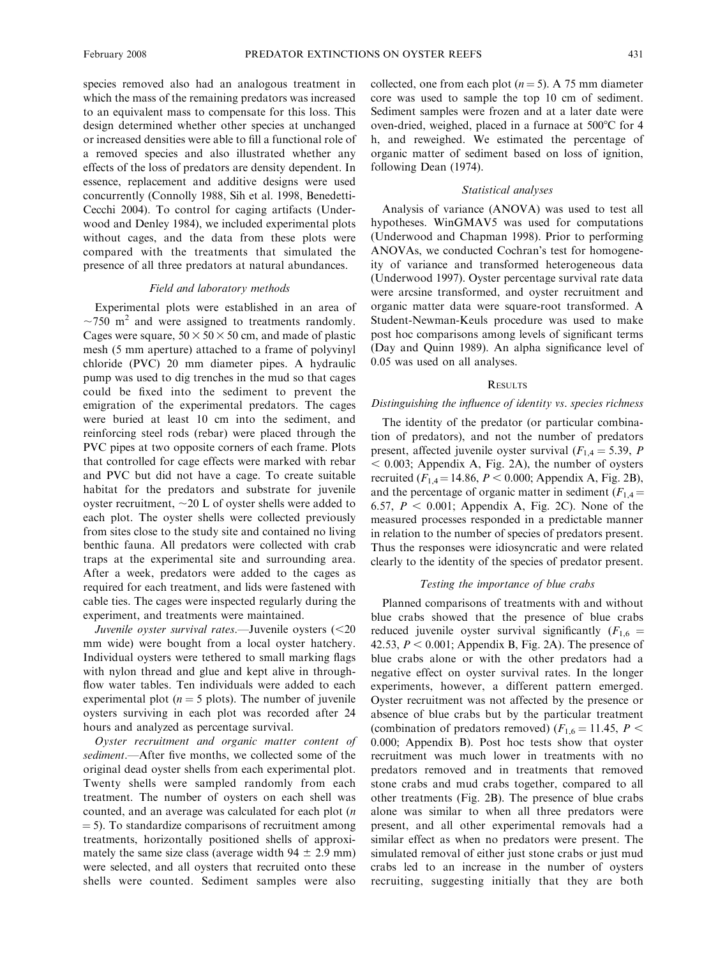species removed also had an analogous treatment in which the mass of the remaining predators was increased to an equivalent mass to compensate for this loss. This design determined whether other species at unchanged or increased densities were able to fill a functional role of a removed species and also illustrated whether any effects of the loss of predators are density dependent. In essence, replacement and additive designs were used concurrently (Connolly 1988, Sih et al. 1998, Benedetti-Cecchi 2004). To control for caging artifacts (Underwood and Denley 1984), we included experimental plots without cages, and the data from these plots were compared with the treatments that simulated the presence of all three predators at natural abundances.

### Field and laboratory methods

Experimental plots were established in an area of  $\sim$ 750 m<sup>2</sup> and were assigned to treatments randomly. Cages were square,  $50 \times 50 \times 50$  cm, and made of plastic mesh (5 mm aperture) attached to a frame of polyvinyl chloride (PVC) 20 mm diameter pipes. A hydraulic pump was used to dig trenches in the mud so that cages could be fixed into the sediment to prevent the emigration of the experimental predators. The cages were buried at least 10 cm into the sediment, and reinforcing steel rods (rebar) were placed through the PVC pipes at two opposite corners of each frame. Plots that controlled for cage effects were marked with rebar and PVC but did not have a cage. To create suitable habitat for the predators and substrate for juvenile oyster recruitment,  $\sim$ 20 L of oyster shells were added to each plot. The oyster shells were collected previously from sites close to the study site and contained no living benthic fauna. All predators were collected with crab traps at the experimental site and surrounding area. After a week, predators were added to the cages as required for each treatment, and lids were fastened with cable ties. The cages were inspected regularly during the experiment, and treatments were maintained.

Juvenile oyster survival rates.—Juvenile oysters  $(<20$ mm wide) were bought from a local oyster hatchery. Individual oysters were tethered to small marking flags with nylon thread and glue and kept alive in throughflow water tables. Ten individuals were added to each experimental plot ( $n = 5$  plots). The number of juvenile oysters surviving in each plot was recorded after 24 hours and analyzed as percentage survival.

Oyster recruitment and organic matter content of sediment.—After five months, we collected some of the original dead oyster shells from each experimental plot. Twenty shells were sampled randomly from each treatment. The number of oysters on each shell was counted, and an average was calculated for each plot (n  $=$  5). To standardize comparisons of recruitment among treatments, horizontally positioned shells of approximately the same size class (average width  $94 \pm 2.9$  mm) were selected, and all oysters that recruited onto these shells were counted. Sediment samples were also collected, one from each plot  $(n = 5)$ . A 75 mm diameter core was used to sample the top 10 cm of sediment. Sediment samples were frozen and at a later date were oven-dried, weighed, placed in a furnace at 500°C for 4 h, and reweighed. We estimated the percentage of organic matter of sediment based on loss of ignition, following Dean (1974).

### Statistical analyses

Analysis of variance (ANOVA) was used to test all hypotheses. WinGMAV5 was used for computations (Underwood and Chapman 1998). Prior to performing ANOVAs, we conducted Cochran's test for homogeneity of variance and transformed heterogeneous data (Underwood 1997). Oyster percentage survival rate data were arcsine transformed, and oyster recruitment and organic matter data were square-root transformed. A Student-Newman-Keuls procedure was used to make post hoc comparisons among levels of significant terms (Day and Quinn 1989). An alpha significance level of 0.05 was used on all analyses.

### **RESULTS**

### Distinguishing the influence of identity vs. species richness

The identity of the predator (or particular combination of predators), and not the number of predators present, affected juvenile oyster survival ( $F_{1,4} = 5.39$ , P  $<$  0.003; Appendix A, Fig. 2A), the number of oysters recruited ( $F_{1,4}$  = 14.86,  $P < 0.000$ ; Appendix A, Fig. 2B), and the percentage of organic matter in sediment ( $F_{1,4}$  = 6.57,  $P < 0.001$ ; Appendix A, Fig. 2C). None of the measured processes responded in a predictable manner in relation to the number of species of predators present. Thus the responses were idiosyncratic and were related clearly to the identity of the species of predator present.

## Testing the importance of blue crabs

Planned comparisons of treatments with and without blue crabs showed that the presence of blue crabs reduced juvenile oyster survival significantly  $(F_{1,6}$  = 42.53,  $P < 0.001$ ; Appendix B, Fig. 2A). The presence of blue crabs alone or with the other predators had a negative effect on oyster survival rates. In the longer experiments, however, a different pattern emerged. Oyster recruitment was not affected by the presence or absence of blue crabs but by the particular treatment (combination of predators removed) ( $F_{1,6} = 11.45$ ,  $P \leq$ 0.000; Appendix B). Post hoc tests show that oyster recruitment was much lower in treatments with no predators removed and in treatments that removed stone crabs and mud crabs together, compared to all other treatments (Fig. 2B). The presence of blue crabs alone was similar to when all three predators were present, and all other experimental removals had a similar effect as when no predators were present. The simulated removal of either just stone crabs or just mud crabs led to an increase in the number of oysters recruiting, suggesting initially that they are both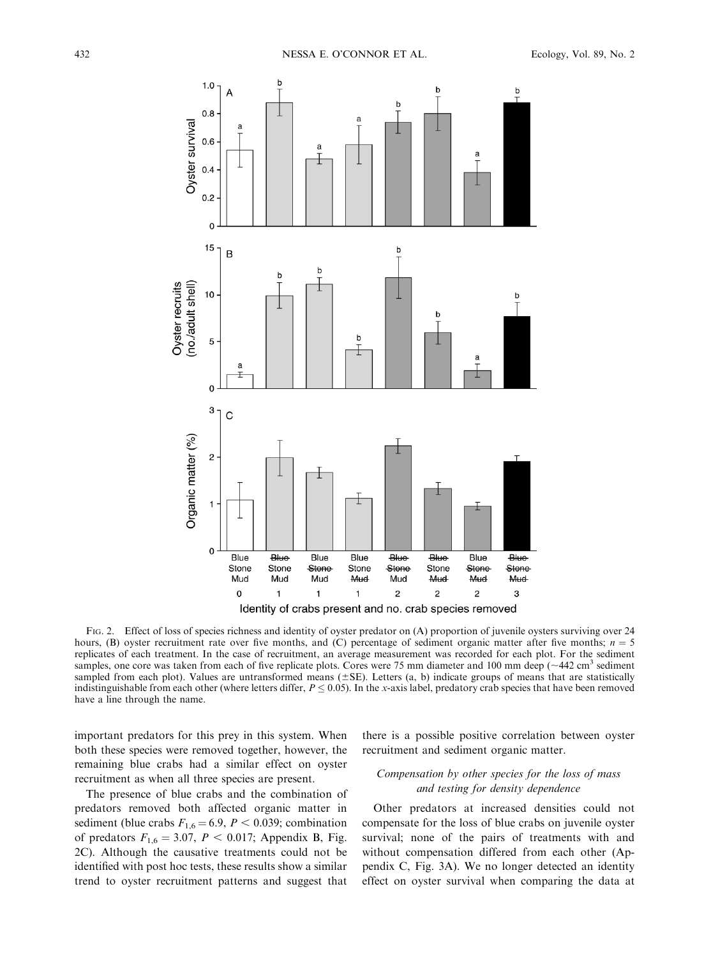

FIG. 2. Effect of loss of species richness and identity of oyster predator on (A) proportion of juvenile oysters surviving over 24 hours, (B) oyster recruitment rate over five months, and (C) percentage of sediment organic matter after five months;  $n = 5$ replicates of each treatment. In the case of recruitment, an average measurement was recorded for each plot. For the sediment samples, one core was taken from each of five replicate plots. Cores were 75 mm diameter and 100 mm deep ( $\sim$ 442 cm<sup>3</sup> sediment sampled from each plot). Values are untransformed means  $(\pm SE)$ . Letters (a, b) indicate groups of means that are statistically indistinguishable from each other (where letters differ,  $P \le 0.05$ ). In the x-axis label, predatory crab species that have been removed have a line through the name.

important predators for this prey in this system. When both these species were removed together, however, the remaining blue crabs had a similar effect on oyster recruitment as when all three species are present.

The presence of blue crabs and the combination of predators removed both affected organic matter in sediment (blue crabs  $F_{1,6} = 6.9$ ,  $P < 0.039$ ; combination of predators  $F_{1,6} = 3.07, P < 0.017$ ; Appendix B, Fig. 2C). Although the causative treatments could not be identified with post hoc tests, these results show a similar trend to oyster recruitment patterns and suggest that

there is a possible positive correlation between oyster recruitment and sediment organic matter.

# Compensation by other species for the loss of mass and testing for density dependence

Other predators at increased densities could not compensate for the loss of blue crabs on juvenile oyster survival; none of the pairs of treatments with and without compensation differed from each other (Appendix C, Fig. 3A). We no longer detected an identity effect on oyster survival when comparing the data at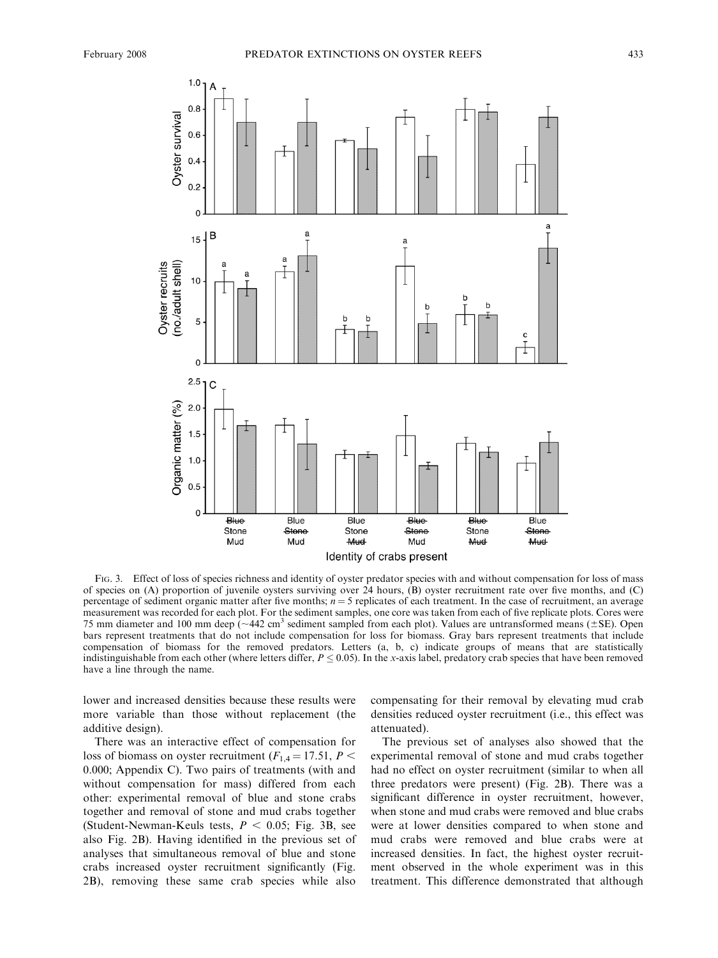

FIG. 3. Effect of loss of species richness and identity of oyster predator species with and without compensation for loss of mass of species on (A) proportion of juvenile oysters surviving over 24 hours, (B) oyster recruitment rate over five months, and (C) percentage of sediment organic matter after five months;  $n = 5$  replicates of each treatment. In the case of recruitment, an average measurement was recorded for each plot. For the sediment samples, one core was taken from each of five replicate plots. Cores were 75 mm diameter and 100 mm deep ( $\sim$ 442 cm<sup>3</sup> sediment sampled from each plot). Values are untransformed means ( $\pm$ SE). Open bars represent treatments that do not include compensation for loss for biomass. Gray bars represent treatments that include compensation of biomass for the removed predators. Letters (a, b, c) indicate groups of means that are statistically indistinguishable from each other (where letters differ,  $P \le 0.05$ ). In the x-axis label, predatory crab species that have been removed have a line through the name.

lower and increased densities because these results were more variable than those without replacement (the additive design).

There was an interactive effect of compensation for loss of biomass on oyster recruitment ( $F_{1,4} = 17.51, P <$ 0.000; Appendix C). Two pairs of treatments (with and without compensation for mass) differed from each other: experimental removal of blue and stone crabs together and removal of stone and mud crabs together (Student-Newman-Keuls tests,  $P < 0.05$ ; Fig. 3B, see also Fig. 2B). Having identified in the previous set of analyses that simultaneous removal of blue and stone crabs increased oyster recruitment significantly (Fig. 2B), removing these same crab species while also

compensating for their removal by elevating mud crab densities reduced oyster recruitment (i.e., this effect was attenuated).

The previous set of analyses also showed that the experimental removal of stone and mud crabs together had no effect on oyster recruitment (similar to when all three predators were present) (Fig. 2B). There was a significant difference in oyster recruitment, however, when stone and mud crabs were removed and blue crabs were at lower densities compared to when stone and mud crabs were removed and blue crabs were at increased densities. In fact, the highest oyster recruitment observed in the whole experiment was in this treatment. This difference demonstrated that although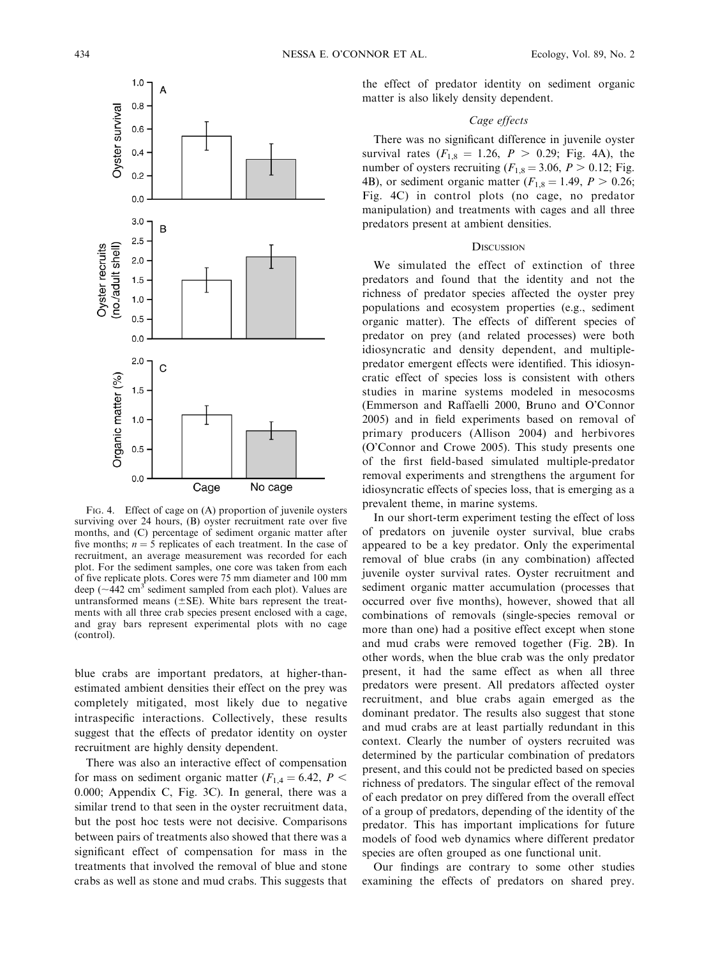

FIG. 4. Effect of cage on (A) proportion of juvenile oysters surviving over 24 hours, (B) oyster recruitment rate over five months, and (C) percentage of sediment organic matter after five months;  $n = 5$  replicates of each treatment. In the case of recruitment, an average measurement was recorded for each plot. For the sediment samples, one core was taken from each of five replicate plots. Cores were 75 mm diameter and 100 mm deep ( $\sim$ 442 cm<sup>3</sup> sediment sampled from each plot). Values are untransformed means  $(\pm SE)$ . White bars represent the treatments with all three crab species present enclosed with a cage, and gray bars represent experimental plots with no cage (control).

blue crabs are important predators, at higher-thanestimated ambient densities their effect on the prey was completely mitigated, most likely due to negative intraspecific interactions. Collectively, these results suggest that the effects of predator identity on oyster recruitment are highly density dependent.

There was also an interactive effect of compensation for mass on sediment organic matter ( $F_{1,4} = 6.42$ ,  $P <$ 0.000; Appendix C, Fig. 3C). In general, there was a similar trend to that seen in the oyster recruitment data, but the post hoc tests were not decisive. Comparisons between pairs of treatments also showed that there was a significant effect of compensation for mass in the treatments that involved the removal of blue and stone crabs as well as stone and mud crabs. This suggests that

the effect of predator identity on sediment organic matter is also likely density dependent.

### Cage effects

There was no significant difference in juvenile oyster survival rates  $(F_{1,8} = 1.26, P > 0.29;$  Fig. 4A), the number of oysters recruiting ( $F_{1,8} = 3.06$ ,  $P > 0.12$ ; Fig. 4B), or sediment organic matter ( $F_{1,8} = 1.49, P > 0.26;$ Fig. 4C) in control plots (no cage, no predator manipulation) and treatments with cages and all three predators present at ambient densities.

#### **DISCUSSION**

We simulated the effect of extinction of three predators and found that the identity and not the richness of predator species affected the oyster prey populations and ecosystem properties (e.g., sediment organic matter). The effects of different species of predator on prey (and related processes) were both idiosyncratic and density dependent, and multiplepredator emergent effects were identified. This idiosyncratic effect of species loss is consistent with others studies in marine systems modeled in mesocosms (Emmerson and Raffaelli 2000, Bruno and O'Connor 2005) and in field experiments based on removal of primary producers (Allison 2004) and herbivores (O'Connor and Crowe 2005). This study presents one of the first field-based simulated multiple-predator removal experiments and strengthens the argument for idiosyncratic effects of species loss, that is emerging as a prevalent theme, in marine systems.

In our short-term experiment testing the effect of loss of predators on juvenile oyster survival, blue crabs appeared to be a key predator. Only the experimental removal of blue crabs (in any combination) affected juvenile oyster survival rates. Oyster recruitment and sediment organic matter accumulation (processes that occurred over five months), however, showed that all combinations of removals (single-species removal or more than one) had a positive effect except when stone and mud crabs were removed together (Fig. 2B). In other words, when the blue crab was the only predator present, it had the same effect as when all three predators were present. All predators affected oyster recruitment, and blue crabs again emerged as the dominant predator. The results also suggest that stone and mud crabs are at least partially redundant in this context. Clearly the number of oysters recruited was determined by the particular combination of predators present, and this could not be predicted based on species richness of predators. The singular effect of the removal of each predator on prey differed from the overall effect of a group of predators, depending of the identity of the predator. This has important implications for future models of food web dynamics where different predator species are often grouped as one functional unit.

Our findings are contrary to some other studies examining the effects of predators on shared prey.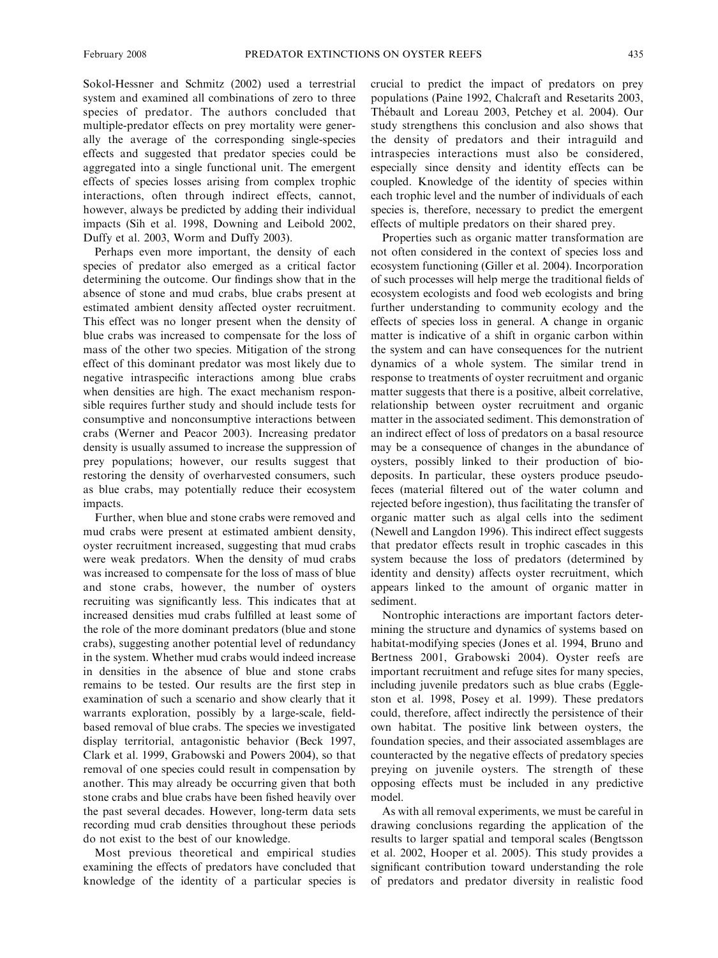Sokol-Hessner and Schmitz (2002) used a terrestrial system and examined all combinations of zero to three species of predator. The authors concluded that multiple-predator effects on prey mortality were generally the average of the corresponding single-species effects and suggested that predator species could be aggregated into a single functional unit. The emergent effects of species losses arising from complex trophic interactions, often through indirect effects, cannot, however, always be predicted by adding their individual impacts (Sih et al. 1998, Downing and Leibold 2002, Duffy et al. 2003, Worm and Duffy 2003).

Perhaps even more important, the density of each species of predator also emerged as a critical factor determining the outcome. Our findings show that in the absence of stone and mud crabs, blue crabs present at estimated ambient density affected oyster recruitment. This effect was no longer present when the density of blue crabs was increased to compensate for the loss of mass of the other two species. Mitigation of the strong effect of this dominant predator was most likely due to negative intraspecific interactions among blue crabs when densities are high. The exact mechanism responsible requires further study and should include tests for consumptive and nonconsumptive interactions between crabs (Werner and Peacor 2003). Increasing predator density is usually assumed to increase the suppression of prey populations; however, our results suggest that restoring the density of overharvested consumers, such as blue crabs, may potentially reduce their ecosystem impacts.

Further, when blue and stone crabs were removed and mud crabs were present at estimated ambient density, oyster recruitment increased, suggesting that mud crabs were weak predators. When the density of mud crabs was increased to compensate for the loss of mass of blue and stone crabs, however, the number of oysters recruiting was significantly less. This indicates that at increased densities mud crabs fulfilled at least some of the role of the more dominant predators (blue and stone crabs), suggesting another potential level of redundancy in the system. Whether mud crabs would indeed increase in densities in the absence of blue and stone crabs remains to be tested. Our results are the first step in examination of such a scenario and show clearly that it warrants exploration, possibly by a large-scale, fieldbased removal of blue crabs. The species we investigated display territorial, antagonistic behavior (Beck 1997, Clark et al. 1999, Grabowski and Powers 2004), so that removal of one species could result in compensation by another. This may already be occurring given that both stone crabs and blue crabs have been fished heavily over the past several decades. However, long-term data sets recording mud crab densities throughout these periods do not exist to the best of our knowledge.

Most previous theoretical and empirical studies examining the effects of predators have concluded that knowledge of the identity of a particular species is crucial to predict the impact of predators on prey populations (Paine 1992, Chalcraft and Resetarits 2003, Thébault and Loreau 2003, Petchey et al. 2004). Our study strengthens this conclusion and also shows that the density of predators and their intraguild and intraspecies interactions must also be considered, especially since density and identity effects can be coupled. Knowledge of the identity of species within each trophic level and the number of individuals of each species is, therefore, necessary to predict the emergent effects of multiple predators on their shared prey.

Properties such as organic matter transformation are not often considered in the context of species loss and ecosystem functioning (Giller et al. 2004). Incorporation of such processes will help merge the traditional fields of ecosystem ecologists and food web ecologists and bring further understanding to community ecology and the effects of species loss in general. A change in organic matter is indicative of a shift in organic carbon within the system and can have consequences for the nutrient dynamics of a whole system. The similar trend in response to treatments of oyster recruitment and organic matter suggests that there is a positive, albeit correlative, relationship between oyster recruitment and organic matter in the associated sediment. This demonstration of an indirect effect of loss of predators on a basal resource may be a consequence of changes in the abundance of oysters, possibly linked to their production of biodeposits. In particular, these oysters produce pseudofeces (material filtered out of the water column and rejected before ingestion), thus facilitating the transfer of organic matter such as algal cells into the sediment (Newell and Langdon 1996). This indirect effect suggests that predator effects result in trophic cascades in this system because the loss of predators (determined by identity and density) affects oyster recruitment, which appears linked to the amount of organic matter in sediment.

Nontrophic interactions are important factors determining the structure and dynamics of systems based on habitat-modifying species (Jones et al. 1994, Bruno and Bertness 2001, Grabowski 2004). Oyster reefs are important recruitment and refuge sites for many species, including juvenile predators such as blue crabs (Eggleston et al. 1998, Posey et al. 1999). These predators could, therefore, affect indirectly the persistence of their own habitat. The positive link between oysters, the foundation species, and their associated assemblages are counteracted by the negative effects of predatory species preying on juvenile oysters. The strength of these opposing effects must be included in any predictive model.

As with all removal experiments, we must be careful in drawing conclusions regarding the application of the results to larger spatial and temporal scales (Bengtsson et al. 2002, Hooper et al. 2005). This study provides a significant contribution toward understanding the role of predators and predator diversity in realistic food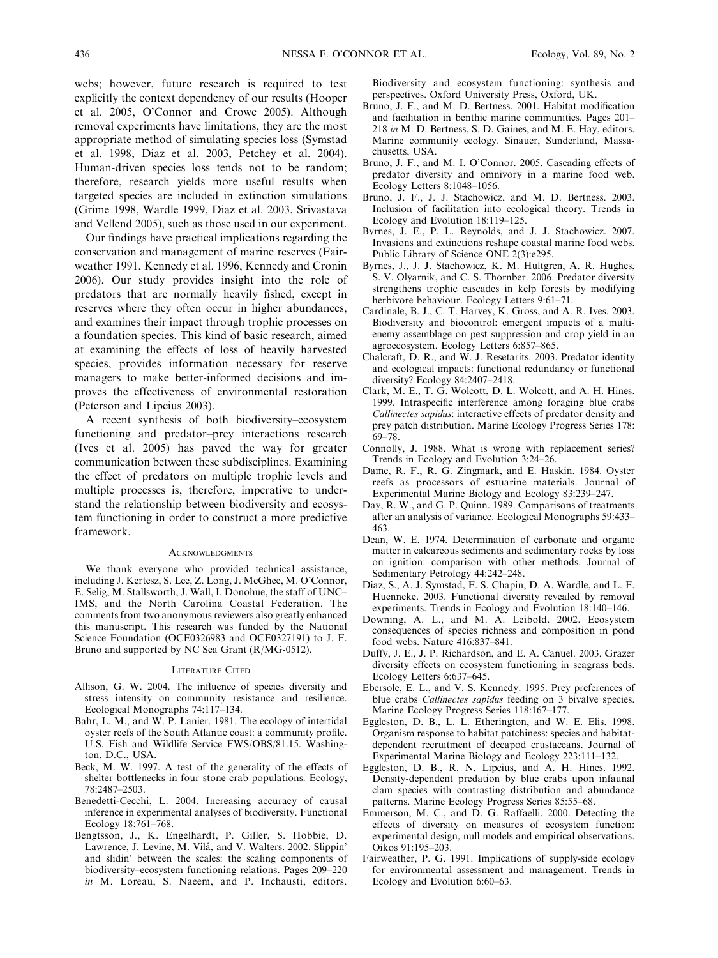webs; however, future research is required to test explicitly the context dependency of our results (Hooper et al. 2005, O'Connor and Crowe 2005). Although removal experiments have limitations, they are the most appropriate method of simulating species loss (Symstad et al. 1998, Diaz et al. 2003, Petchey et al. 2004). Human-driven species loss tends not to be random; therefore, research yields more useful results when targeted species are included in extinction simulations (Grime 1998, Wardle 1999, Diaz et al. 2003, Srivastava and Vellend 2005), such as those used in our experiment.

Our findings have practical implications regarding the conservation and management of marine reserves (Fairweather 1991, Kennedy et al. 1996, Kennedy and Cronin 2006). Our study provides insight into the role of predators that are normally heavily fished, except in reserves where they often occur in higher abundances, and examines their impact through trophic processes on a foundation species. This kind of basic research, aimed at examining the effects of loss of heavily harvested species, provides information necessary for reserve managers to make better-informed decisions and improves the effectiveness of environmental restoration (Peterson and Lipcius 2003).

A recent synthesis of both biodiversity–ecosystem functioning and predator–prey interactions research (Ives et al. 2005) has paved the way for greater communication between these subdisciplines. Examining the effect of predators on multiple trophic levels and multiple processes is, therefore, imperative to understand the relationship between biodiversity and ecosystem functioning in order to construct a more predictive framework.

#### **ACKNOWLEDGMENTS**

We thank everyone who provided technical assistance, including J. Kertesz, S. Lee, Z. Long, J. McGhee, M. O'Connor, E. Selig, M. Stallsworth, J. Wall, I. Donohue, the staff of UNC– IMS, and the North Carolina Coastal Federation. The comments from two anonymous reviewers also greatly enhanced this manuscript. This research was funded by the National Science Foundation (OCE0326983 and OCE0327191) to J. F. Bruno and supported by NC Sea Grant (R/MG-0512).

#### LITERATURE CITED

- Allison, G. W. 2004. The influence of species diversity and stress intensity on community resistance and resilience. Ecological Monographs 74:117–134.
- Bahr, L. M., and W. P. Lanier. 1981. The ecology of intertidal oyster reefs of the South Atlantic coast: a community profile. U.S. Fish and Wildlife Service FWS/OBS/81.15. Washington, D.C., USA.
- Beck, M. W. 1997. A test of the generality of the effects of shelter bottlenecks in four stone crab populations. Ecology, 78:2487–2503.
- Benedetti-Cecchi, L. 2004. Increasing accuracy of causal inference in experimental analyses of biodiversity. Functional Ecology 18:761–768.
- Bengtsson, J., K. Engelhardt, P. Giller, S. Hobbie, D. Lawrence, J. Levine, M. Vilá, and V. Walters. 2002. Slippin' and slidin' between the scales: the scaling components of biodiversity–ecosystem functioning relations. Pages 209–220 in M. Loreau, S. Naeem, and P. Inchausti, editors.

Biodiversity and ecosystem functioning: synthesis and perspectives. Oxford University Press, Oxford, UK.

- Bruno, J. F., and M. D. Bertness. 2001. Habitat modification and facilitation in benthic marine communities. Pages 201– 218 in M. D. Bertness, S. D. Gaines, and M. E. Hay, editors. Marine community ecology. Sinauer, Sunderland, Massachusetts, USA.
- Bruno, J. F., and M. I. O'Connor. 2005. Cascading effects of predator diversity and omnivory in a marine food web. Ecology Letters 8:1048–1056.
- Bruno, J. F., J. J. Stachowicz, and M. D. Bertness. 2003. Inclusion of facilitation into ecological theory. Trends in Ecology and Evolution 18:119–125.
- Byrnes, J. E., P. L. Reynolds, and J. J. Stachowicz. 2007. Invasions and extinctions reshape coastal marine food webs. Public Library of Science ONE 2(3):e295.
- Byrnes, J., J. J. Stachowicz, K. M. Hultgren, A. R. Hughes, S. V. Olyarnik, and C. S. Thornber. 2006. Predator diversity strengthens trophic cascades in kelp forests by modifying herbivore behaviour. Ecology Letters 9:61–71.
- Cardinale, B. J., C. T. Harvey, K. Gross, and A. R. Ives. 2003. Biodiversity and biocontrol: emergent impacts of a multienemy assemblage on pest suppression and crop yield in an agroecosystem. Ecology Letters 6:857–865.
- Chalcraft, D. R., and W. J. Resetarits. 2003. Predator identity and ecological impacts: functional redundancy or functional diversity? Ecology 84:2407–2418.
- Clark, M. E., T. G. Wolcott, D. L. Wolcott, and A. H. Hines. 1999. Intraspecific interference among foraging blue crabs Callinectes sapidus: interactive effects of predator density and prey patch distribution. Marine Ecology Progress Series 178: 69–78.
- Connolly, J. 1988. What is wrong with replacement series? Trends in Ecology and Evolution 3:24–26.
- Dame, R. F., R. G. Zingmark, and E. Haskin. 1984. Oyster reefs as processors of estuarine materials. Journal of Experimental Marine Biology and Ecology 83:239–247.
- Day, R. W., and G. P. Quinn. 1989. Comparisons of treatments after an analysis of variance. Ecological Monographs 59:433– 463.
- Dean, W. E. 1974. Determination of carbonate and organic matter in calcareous sediments and sedimentary rocks by loss on ignition: comparison with other methods. Journal of Sedimentary Petrology 44:242–248.
- Diaz, S., A. J. Symstad, F. S. Chapin, D. A. Wardle, and L. F. Huenneke. 2003. Functional diversity revealed by removal experiments. Trends in Ecology and Evolution 18:140–146.
- Downing, A. L., and M. A. Leibold. 2002. Ecosystem consequences of species richness and composition in pond food webs. Nature 416:837–841.
- Duffy, J. E., J. P. Richardson, and E. A. Canuel. 2003. Grazer diversity effects on ecosystem functioning in seagrass beds. Ecology Letters 6:637–645.
- Ebersole, E. L., and V. S. Kennedy. 1995. Prey preferences of blue crabs Callinectes sapidus feeding on 3 bivalve species. Marine Ecology Progress Series 118:167–177.
- Eggleston, D. B., L. L. Etherington, and W. E. Elis. 1998. Organism response to habitat patchiness: species and habitatdependent recruitment of decapod crustaceans. Journal of Experimental Marine Biology and Ecology 223:111–132.
- Eggleston, D. B., R. N. Lipcius, and A. H. Hines. 1992. Density-dependent predation by blue crabs upon infaunal clam species with contrasting distribution and abundance patterns. Marine Ecology Progress Series 85:55–68.
- Emmerson, M. C., and D. G. Raffaelli. 2000. Detecting the effects of diversity on measures of ecosystem function: experimental design, null models and empirical observations. Oikos 91:195–203.
- Fairweather, P. G. 1991. Implications of supply-side ecology for environmental assessment and management. Trends in Ecology and Evolution 6:60–63.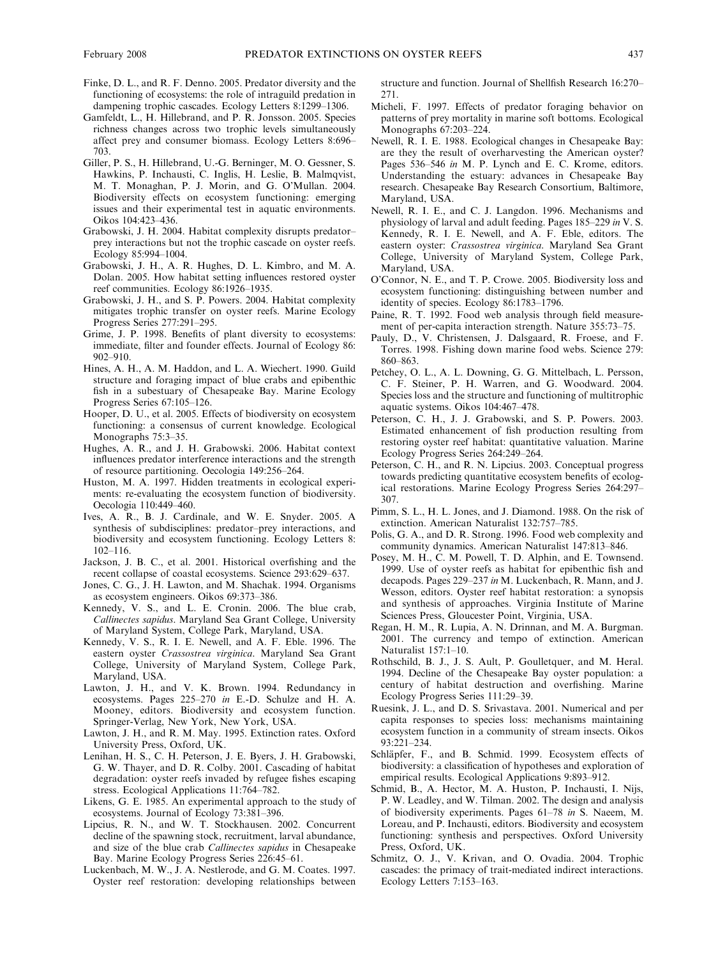- Finke, D. L., and R. F. Denno. 2005. Predator diversity and the functioning of ecosystems: the role of intraguild predation in dampening trophic cascades. Ecology Letters 8:1299–1306.
- Gamfeldt, L., H. Hillebrand, and P. R. Jonsson. 2005. Species richness changes across two trophic levels simultaneously affect prey and consumer biomass. Ecology Letters 8:696– 703.
- Giller, P. S., H. Hillebrand, U.-G. Berninger, M. O. Gessner, S. Hawkins, P. Inchausti, C. Inglis, H. Leslie, B. Malmqvist, M. T. Monaghan, P. J. Morin, and G. O'Mullan. 2004. Biodiversity effects on ecosystem functioning: emerging issues and their experimental test in aquatic environments. Oikos 104:423–436.
- Grabowski, J. H. 2004. Habitat complexity disrupts predator– prey interactions but not the trophic cascade on oyster reefs. Ecology 85:994–1004.
- Grabowski, J. H., A. R. Hughes, D. L. Kimbro, and M. A. Dolan. 2005. How habitat setting influences restored oyster reef communities. Ecology 86:1926–1935.
- Grabowski, J. H., and S. P. Powers. 2004. Habitat complexity mitigates trophic transfer on oyster reefs. Marine Ecology Progress Series 277:291–295.
- Grime, J. P. 1998. Benefits of plant diversity to ecosystems: immediate, filter and founder effects. Journal of Ecology 86: 902–910.
- Hines, A. H., A. M. Haddon, and L. A. Wiechert. 1990. Guild structure and foraging impact of blue crabs and epibenthic fish in a subestuary of Chesapeake Bay. Marine Ecology Progress Series 67:105–126.
- Hooper, D. U., et al. 2005. Effects of biodiversity on ecosystem functioning: a consensus of current knowledge. Ecological Monographs 75:3–35.
- Hughes, A. R., and J. H. Grabowski. 2006. Habitat context influences predator interference interactions and the strength of resource partitioning. Oecologia 149:256–264.
- Huston, M. A. 1997. Hidden treatments in ecological experiments: re-evaluating the ecosystem function of biodiversity. Oecologia 110:449–460.
- Ives, A. R., B. J. Cardinale, and W. E. Snyder. 2005. A synthesis of subdisciplines: predator–prey interactions, and biodiversity and ecosystem functioning. Ecology Letters 8: 102–116.
- Jackson, J. B. C., et al. 2001. Historical overfishing and the recent collapse of coastal ecosystems. Science 293:629–637.
- Jones, C. G., J. H. Lawton, and M. Shachak. 1994. Organisms as ecosystem engineers. Oikos 69:373–386.
- Kennedy, V. S., and L. E. Cronin. 2006. The blue crab, Callinectes sapidus. Maryland Sea Grant College, University of Maryland System, College Park, Maryland, USA.
- Kennedy, V. S., R. I. E. Newell, and A. F. Eble. 1996. The eastern oyster Crassostrea virginica. Maryland Sea Grant College, University of Maryland System, College Park, Maryland, USA.
- Lawton, J. H., and V. K. Brown. 1994. Redundancy in ecosystems. Pages 225–270 in E.-D. Schulze and H. A. Mooney, editors. Biodiversity and ecosystem function. Springer-Verlag, New York, New York, USA.
- Lawton, J. H., and R. M. May. 1995. Extinction rates. Oxford University Press, Oxford, UK.
- Lenihan, H. S., C. H. Peterson, J. E. Byers, J. H. Grabowski, G. W. Thayer, and D. R. Colby. 2001. Cascading of habitat degradation: oyster reefs invaded by refugee fishes escaping stress. Ecological Applications 11:764–782.
- Likens, G. E. 1985. An experimental approach to the study of ecosystems. Journal of Ecology 73:381–396.
- Lipcius, R. N., and W. T. Stockhausen. 2002. Concurrent decline of the spawning stock, recruitment, larval abundance, and size of the blue crab Callinectes sapidus in Chesapeake Bay. Marine Ecology Progress Series 226:45–61.
- Luckenbach, M. W., J. A. Nestlerode, and G. M. Coates. 1997. Oyster reef restoration: developing relationships between

structure and function. Journal of Shellfish Research 16:270– 271.

- Micheli, F. 1997. Effects of predator foraging behavior on patterns of prey mortality in marine soft bottoms. Ecological Monographs 67:203–224.
- Newell, R. I. E. 1988. Ecological changes in Chesapeake Bay: are they the result of overharvesting the American oyster? Pages 536–546 in M. P. Lynch and E. C. Krome, editors. Understanding the estuary: advances in Chesapeake Bay research. Chesapeake Bay Research Consortium, Baltimore, Maryland, USA.
- Newell, R. I. E., and C. J. Langdon. 1996. Mechanisms and physiology of larval and adult feeding. Pages 185–229 in V. S. Kennedy, R. I. E. Newell, and A. F. Eble, editors. The eastern oyster: Crassostrea virginica. Maryland Sea Grant College, University of Maryland System, College Park, Maryland, USA.
- O'Connor, N. E., and T. P. Crowe. 2005. Biodiversity loss and ecosystem functioning: distinguishing between number and identity of species. Ecology 86:1783–1796.
- Paine, R. T. 1992. Food web analysis through field measurement of per-capita interaction strength. Nature 355:73–75.
- Pauly, D., V. Christensen, J. Dalsgaard, R. Froese, and F. Torres. 1998. Fishing down marine food webs. Science 279: 860–863.
- Petchey, O. L., A. L. Downing, G. G. Mittelbach, L. Persson, C. F. Steiner, P. H. Warren, and G. Woodward. 2004. Species loss and the structure and functioning of multitrophic aquatic systems. Oikos 104:467–478.
- Peterson, C. H., J. J. Grabowski, and S. P. Powers. 2003. Estimated enhancement of fish production resulting from restoring oyster reef habitat: quantitative valuation. Marine Ecology Progress Series 264:249–264.
- Peterson, C. H., and R. N. Lipcius. 2003. Conceptual progress towards predicting quantitative ecosystem benefits of ecological restorations. Marine Ecology Progress Series 264:297– 307.
- Pimm, S. L., H. L. Jones, and J. Diamond. 1988. On the risk of extinction. American Naturalist 132:757–785.
- Polis, G. A., and D. R. Strong. 1996. Food web complexity and community dynamics. American Naturalist 147:813–846.
- Posey, M. H., C. M. Powell, T. D. Alphin, and E. Townsend. 1999. Use of oyster reefs as habitat for epibenthic fish and decapods. Pages 229–237 in M. Luckenbach, R. Mann, and J. Wesson, editors. Oyster reef habitat restoration: a synopsis and synthesis of approaches. Virginia Institute of Marine Sciences Press, Gloucester Point, Virginia, USA.
- Regan, H. M., R. Lupia, A. N. Drinnan, and M. A. Burgman. 2001. The currency and tempo of extinction. American Naturalist 157:1–10.
- Rothschild, B. J., J. S. Ault, P. Goulletquer, and M. Heral. 1994. Decline of the Chesapeake Bay oyster population: a century of habitat destruction and overfishing. Marine Ecology Progress Series 111:29–39.
- Ruesink, J. L., and D. S. Srivastava. 2001. Numerical and per capita responses to species loss: mechanisms maintaining ecosystem function in a community of stream insects. Oikos 93:221–234.
- Schläpfer, F., and B. Schmid. 1999. Ecosystem effects of biodiversity: a classification of hypotheses and exploration of empirical results. Ecological Applications 9:893–912.
- Schmid, B., A. Hector, M. A. Huston, P. Inchausti, I. Nijs, P. W. Leadley, and W. Tilman. 2002. The design and analysis of biodiversity experiments. Pages 61–78 in S. Naeem, M. Loreau, and P. Inchausti, editors. Biodiversity and ecosystem functioning: synthesis and perspectives. Oxford University Press, Oxford, UK.
- Schmitz, O. J., V. Krivan, and O. Ovadia. 2004. Trophic cascades: the primacy of trait-mediated indirect interactions. Ecology Letters 7:153–163.